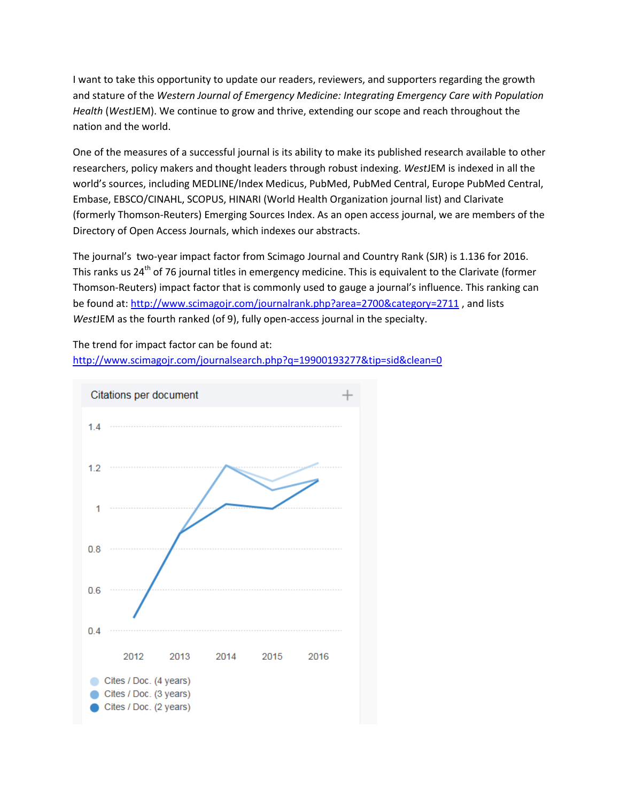I want to take this opportunity to update our readers, reviewers, and supporters regarding the growth and stature of the *Western Journal of Emergency Medicine: Integrating Emergency Care with Population Health* (*West*JEM). We continue to grow and thrive, extending our scope and reach throughout the nation and the world.

One of the measures of a successful journal is its ability to make its published research available to other researchers, policy makers and thought leaders through robust indexing. *West*JEM is indexed in all the world's sources, including MEDLINE/Index Medicus, PubMed, PubMed Central, Europe PubMed Central, Embase, EBSCO/CINAHL, SCOPUS, HINARI (World Health Organization journal list) and Clarivate (formerly Thomson-Reuters) Emerging Sources Index. As an open access journal, we are members of the Directory of Open Access Journals, which indexes our abstracts.

The journal's two-year impact factor from Scimago Journal and Country Rank (SJR) is 1.136 for 2016. This ranks us 24<sup>th</sup> of 76 journal titles in emergency medicine. This is equivalent to the Clarivate (former Thomson-Reuters) impact factor that is commonly used to gauge a journal's influence. This ranking can be found at:<http://www.scimagojr.com/journalrank.php?area=2700&category=2711>, and lists *West*JEM as the fourth ranked (of 9), fully open-access journal in the specialty.

The trend for impact factor can be found at: <http://www.scimagojr.com/journalsearch.php?q=19900193277&tip=sid&clean=0>

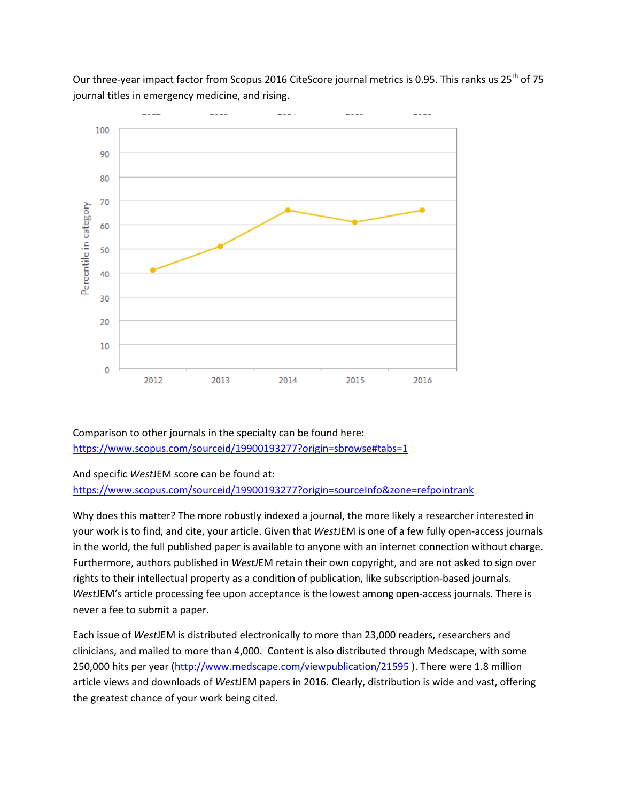

Our three-year impact factor from Scopus 2016 CiteScore journal metrics is 0.95. This ranks us 25<sup>th</sup> of 75 journal titles in emergency medicine, and rising.

Comparison to other journals in the specialty can be found here: <https://www.scopus.com/sourceid/19900193277?origin=sbrowse#tabs=1>

## And specific *West*JEM score can be found at:

<https://www.scopus.com/sourceid/19900193277?origin=sourceInfo&zone=refpointrank>

Why does this matter? The more robustly indexed a journal, the more likely a researcher interested in your work is to find, and cite, your article. Given that *West*JEM is one of a few fully open-access journals in the world, the full published paper is available to anyone with an internet connection without charge. Furthermore, authors published in *WestJ*EM retain their own copyright, and are not asked to sign over rights to their intellectual property as a condition of publication, like subscription-based journals. *West*JEM's article processing fee upon acceptance is the lowest among open-access journals. There is never a fee to submit a paper.

Each issue of *West*JEM is distributed electronically to more than 23,000 readers, researchers and clinicians, and mailed to more than 4,000. Content is also distributed through Medscape, with some 250,000 hits per year [\(http://www.medscape.com/viewpublication/21595](http://www.medscape.com/viewpublication/21595)). There were 1.8 million article views and downloads of *West*JEM papers in 2016. Clearly, distribution is wide and vast, offering the greatest chance of your work being cited.